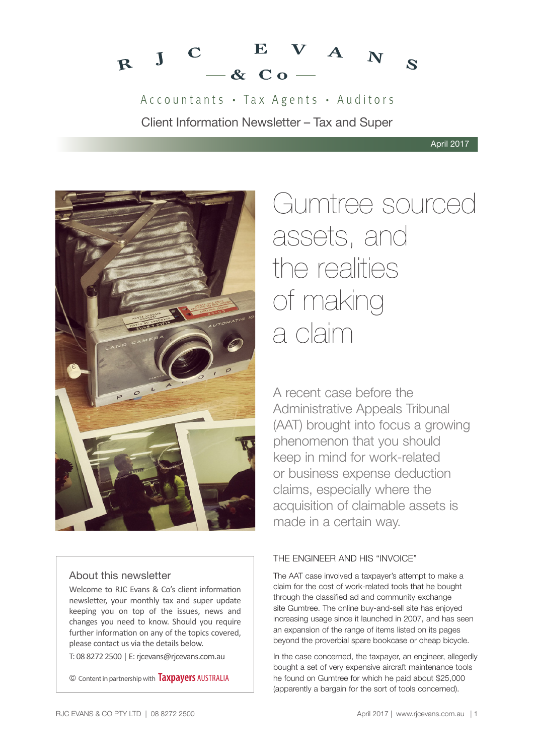

Accountants · Tax Agents · Auditors Client Information Newsletter – Tax and Super



# About this newsletter

Welcome to RJC Evans & Co's client information newsletter, your monthly tax and super update keeping you on top of the issues, news and changes you need to know. Should you require further information on any of the topics covered, please contact us via the details below.

T: 08 8272 2500 | E: rjcevans@rjcevans.com.au

© Content in partnership with **Taxpayers** AUSTRALIA

# Gumtree sourced assets, and the realities of making a claim

A recent case before the Administrative Appeals Tribunal (AAT) brought into focus a growing phenomenon that you should keep in mind for work-related or business expense deduction claims, especially where the acquisition of claimable assets is made in a certain way.

# THE ENGINEER AND HIS "INVOICE"

The AAT case involved a taxpayer's attempt to make a claim for the cost of work-related tools that he bought through the classified ad and community exchange site Gumtree. The online buy-and-sell site has enjoyed increasing usage since it launched in 2007, and has seen an expansion of the range of items listed on its pages beyond the proverbial spare bookcase or cheap bicycle.

In the case concerned, the taxpayer, an engineer, allegedly bought a set of very expensive aircraft maintenance tools he found on Gumtree for which he paid about \$25,000 (apparently a bargain for the sort of tools concerned).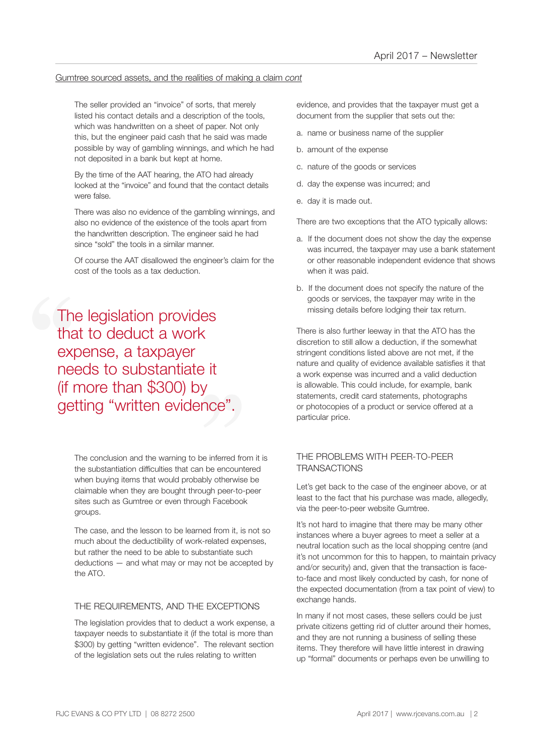## Gumtree sourced assets, and the realities of making a claim *cont*

The seller provided an "invoice" of sorts, that merely listed his contact details and a description of the tools, which was handwritten on a sheet of paper. Not only this, but the engineer paid cash that he said was made possible by way of gambling winnings, and which he had not deposited in a bank but kept at home.

By the time of the AAT hearing, the ATO had already looked at the "invoice" and found that the contact details were false.

There was also no evidence of the gambling winnings, and also no evidence of the existence of the tools apart from the handwritten description. The engineer said he had since "sold" the tools in a similar manner.

Of course the AAT disallowed the engineer's claim for the cost of the tools as a tax deduction.

The<br>tha<br>exp<br>nee<br>(if r <sup>)</sup> it<br>y<br>nce". The legislation provides that to deduct a work expense, a taxpayer needs to substantiate it (if more than \$300) by getting "written evidence".

> The conclusion and the warning to be inferred from it is the substantiation difficulties that can be encountered when buying items that would probably otherwise be claimable when they are bought through peer-to-peer sites such as Gumtree or even through Facebook groups.

The case, and the lesson to be learned from it, is not so much about the deductibility of work-related expenses, but rather the need to be able to substantiate such deductions — and what may or may not be accepted by the ATO.

## THE REQUIREMENTS, AND THE EXCEPTIONS

The legislation provides that to deduct a work expense, a taxpayer needs to substantiate it (if the total is more than \$300) by getting "written evidence". The relevant section of the legislation sets out the rules relating to written

evidence, and provides that the taxpayer must get a document from the supplier that sets out the:

- a. name or business name of the supplier
- b. amount of the expense
- c. nature of the goods or services
- d. day the expense was incurred; and
- e. day it is made out.

There are two exceptions that the ATO typically allows:

- a. If the document does not show the day the expense was incurred, the taxpayer may use a bank statement or other reasonable independent evidence that shows when it was paid.
- b. If the document does not specify the nature of the goods or services, the taxpayer may write in the missing details before lodging their tax return.

There is also further leeway in that the ATO has the discretion to still allow a deduction, if the somewhat stringent conditions listed above are not met, if the nature and quality of evidence available satisfies it that a work expense was incurred and a valid deduction is allowable. This could include, for example, bank statements, credit card statements, photographs or photocopies of a product or service offered at a particular price.

# THE PROBLEMS WITH PEER-TO-PEER **TRANSACTIONS**

Let's get back to the case of the engineer above, or at least to the fact that his purchase was made, allegedly, via the peer-to-peer website Gumtree.

It's not hard to imagine that there may be many other instances where a buyer agrees to meet a seller at a neutral location such as the local shopping centre (and it's not uncommon for this to happen, to maintain privacy and/or security) and, given that the transaction is faceto-face and most likely conducted by cash, for none of the expected documentation (from a tax point of view) to exchange hands.

In many if not most cases, these sellers could be just private citizens getting rid of clutter around their homes, and they are not running a business of selling these items. They therefore will have little interest in drawing up "formal" documents or perhaps even be unwilling to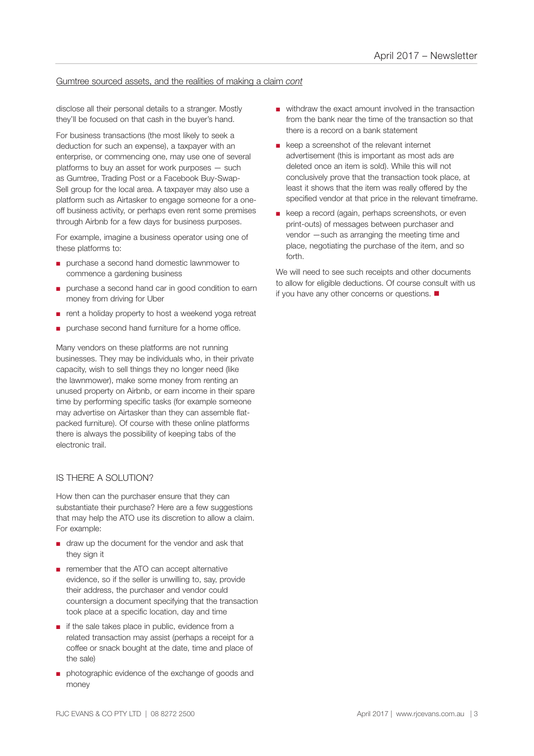## Gumtree sourced assets, and the realities of making a claim *cont*

disclose all their personal details to a stranger. Mostly they'll be focused on that cash in the buyer's hand.

For business transactions (the most likely to seek a deduction for such an expense), a taxpayer with an enterprise, or commencing one, may use one of several platforms to buy an asset for work purposes — such as Gumtree, Trading Post or a Facebook Buy-Swap-Sell group for the local area. A taxpayer may also use a platform such as Airtasker to engage someone for a oneoff business activity, or perhaps even rent some premises through Airbnb for a few days for business purposes.

For example, imagine a business operator using one of these platforms to:

- purchase a second hand domestic lawnmower to commence a gardening business
- purchase a second hand car in good condition to earn money from driving for Uber
- rent a holiday property to host a weekend yoga retreat
- purchase second hand furniture for a home office.

Many vendors on these platforms are not running businesses. They may be individuals who, in their private capacity, wish to sell things they no longer need (like the lawnmower), make some money from renting an unused property on Airbnb, or earn income in their spare time by performing specific tasks (for example someone may advertise on Airtasker than they can assemble flatpacked furniture). Of course with these online platforms there is always the possibility of keeping tabs of the electronic trail.

## IS THERE A SOLUTION?

How then can the purchaser ensure that they can substantiate their purchase? Here are a few suggestions that may help the ATO use its discretion to allow a claim. For example:

- draw up the document for the vendor and ask that they sign it
- remember that the ATO can accept alternative evidence, so if the seller is unwilling to, say, provide their address, the purchaser and vendor could countersign a document specifying that the transaction took place at a specific location, day and time
- if the sale takes place in public, evidence from a related transaction may assist (perhaps a receipt for a coffee or snack bought at the date, time and place of the sale)
- photographic evidence of the exchange of goods and money
- withdraw the exact amount involved in the transaction from the bank near the time of the transaction so that there is a record on a bank statement
- keep a screenshot of the relevant internet advertisement (this is important as most ads are deleted once an item is sold). While this will not conclusively prove that the transaction took place, at least it shows that the item was really offered by the specified vendor at that price in the relevant timeframe.
- keep a record (again, perhaps screenshots, or even print-outs) of messages between purchaser and vendor —such as arranging the meeting time and place, negotiating the purchase of the item, and so forth.

We will need to see such receipts and other documents to allow for eligible deductions. Of course consult with us if you have any other concerns or questions.  $\blacksquare$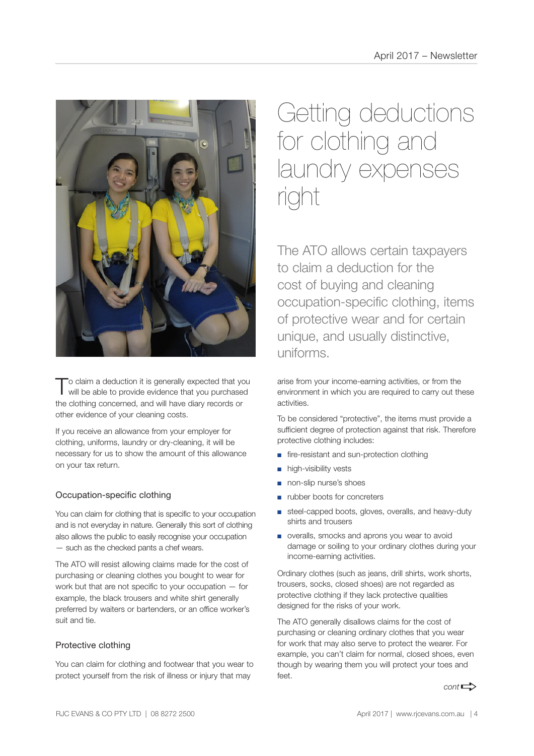

To claim a deduction it is generally expected that you will be able to provide evidence that you purchased the clothing concerned, and will have diary records or other evidence of your cleaning costs.

If you receive an allowance from your employer for clothing, uniforms, laundry or dry-cleaning, it will be necessary for us to show the amount of this allowance on your tax return.

# Occupation-specific clothing

You can claim for clothing that is specific to your occupation and is not everyday in nature. Generally this sort of clothing also allows the public to easily recognise your occupation — such as the checked pants a chef wears.

The ATO will resist allowing claims made for the cost of purchasing or cleaning clothes you bought to wear for work but that are not specific to your occupation — for example, the black trousers and white shirt generally preferred by waiters or bartenders, or an office worker's suit and tie.

# Protective clothing

You can claim for clothing and footwear that you wear to protect yourself from the risk of illness or injury that may

# Getting deductions for clothing and laundry expenses right

The ATO allows certain taxpayers to claim a deduction for the cost of buying and cleaning occupation-specific clothing, items of protective wear and for certain unique, and usually distinctive, uniforms.

arise from your income-earning activities, or from the environment in which you are required to carry out these activities.

To be considered "protective", the items must provide a sufficient degree of protection against that risk. Therefore protective clothing includes:

- fire-resistant and sun-protection clothing
- high-visibility vests
- non-slip nurse's shoes
- rubber boots for concreters
- steel-capped boots, gloves, overalls, and heavy-duty shirts and trousers
- overalls, smocks and aprons you wear to avoid damage or soiling to your ordinary clothes during your income-earning activities.

Ordinary clothes (such as jeans, drill shirts, work shorts, trousers, socks, closed shoes) are not regarded as protective clothing if they lack protective qualities designed for the risks of your work.

The ATO generally disallows claims for the cost of purchasing or cleaning ordinary clothes that you wear for work that may also serve to protect the wearer. For example, you can't claim for normal, closed shoes, even though by wearing them you will protect your toes and  $f \circ f$ 

 $cont \rightarrow$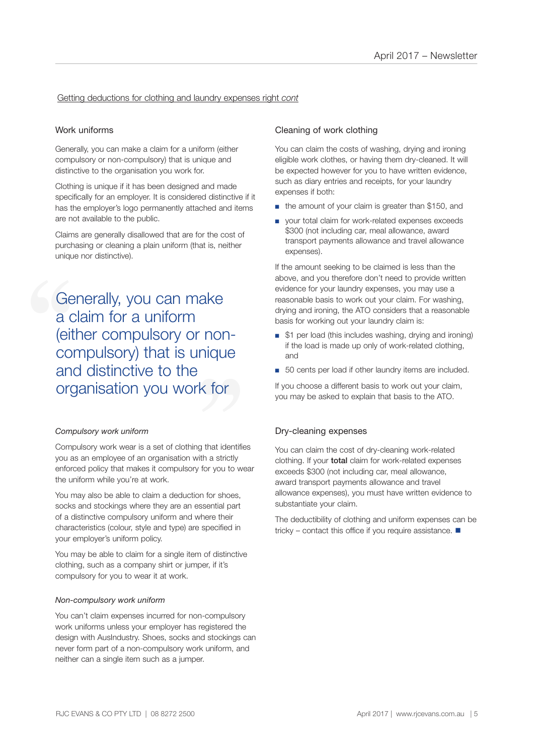## Getting deductions for clothing and laundry expenses right *cont*

# Work uniforms

Generally, you can make a claim for a uniform (either compulsory or non-compulsory) that is unique and distinctive to the organisation you work for.

Clothing is unique if it has been designed and made specifically for an employer. It is considered distinctive if it has the employer's logo permanently attached and items are not available to the public.

Claims are generally disallowed that are for the cost of purchasing or cleaning a plain uniform (that is, neither unique nor distinctive).

**Compulsory) that is unique<br>
and distinctive to the<br>
organisation you work for** Generally, you can make<br>a claim for a uniform<br>(either compulsory or nor<br>compulsory) that is uniqu<br>and distinctive to the a claim for a uniform (either compulsory or nonand distinctive to the organisation you work for

#### *Compulsory work uniform*

Compulsory work wear is a set of clothing that identifies you as an employee of an organisation with a strictly enforced policy that makes it compulsory for you to wear the uniform while you're at work.

You may also be able to claim a deduction for shoes, socks and stockings where they are an essential part of a distinctive compulsory uniform and where their characteristics (colour, style and type) are specified in your employer's uniform policy.

You may be able to claim for a single item of distinctive clothing, such as a company shirt or jumper, if it's compulsory for you to wear it at work.

#### *Non-compulsory work uniform*

You can't claim expenses incurred for non-compulsory work uniforms unless your employer has registered the design with AusIndustry. Shoes, socks and stockings can never form part of a non-compulsory work uniform, and neither can a single item such as a jumper.

#### Cleaning of work clothing

You can claim the costs of washing, drying and ironing eligible work clothes, or having them dry-cleaned. It will be expected however for you to have written evidence, such as diary entries and receipts, for your laundry expenses if both:

- the amount of your claim is greater than \$150, and
- your total claim for work-related expenses exceeds \$300 (not including car, meal allowance, award transport payments allowance and travel allowance expenses).

If the amount seeking to be claimed is less than the above, and you therefore don't need to provide written evidence for your laundry expenses, you may use a reasonable basis to work out your claim. For washing, drying and ironing, the ATO considers that a reasonable basis for working out your laundry claim is:

- \$1 per load (this includes washing, drying and ironing) if the load is made up only of work-related clothing, and
- 50 cents per load if other laundry items are included.

If you choose a different basis to work out your claim, you may be asked to explain that basis to the ATO.

#### Dry-cleaning expenses

You can claim the cost of dry-cleaning work-related clothing. If your total claim for work-related expenses exceeds \$300 (not including car, meal allowance, award transport payments allowance and travel allowance expenses), you must have written evidence to substantiate your claim.

The deductibility of clothing and uniform expenses can be tricky – contact this office if you require assistance.  $\blacksquare$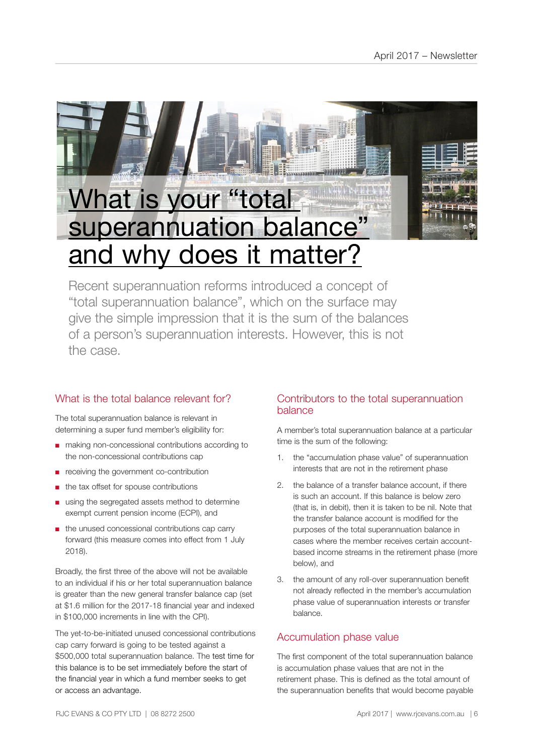

Recent superannuation reforms introduced a concept of "total superannuation balance", which on the surface may give the simple impression that it is the sum of the balances of a person's superannuation interests. However, this is not the case.

# What is the total balance relevant for?

The total superannuation balance is relevant in determining a super fund member's eligibility for:

- making non-concessional contributions according to the non-concessional contributions cap
- receiving the government co-contribution
- the tax offset for spouse contributions
- using the segregated assets method to determine exempt current pension income (ECPI), and
- the unused concessional contributions cap carry forward (this measure comes into effect from 1 July 2018).

Broadly, the first three of the above will not be available to an individual if his or her total superannuation balance is greater than the new general transfer balance cap (set at \$1.6 million for the 2017-18 financial year and indexed in \$100,000 increments in line with the CPI).

The yet-to-be-initiated unused concessional contributions cap carry forward is going to be tested against a \$500,000 total superannuation balance. The test time for this balance is to be set immediately before the start of the financial year in which a fund member seeks to get or access an advantage.

# Contributors to the total superannuation balance

A member's total superannuation balance at a particular time is the sum of the following:

- 1. the "accumulation phase value" of superannuation interests that are not in the retirement phase
- 2. the balance of a transfer balance account, if there is such an account. If this balance is below zero (that is, in debit), then it is taken to be nil. Note that the transfer balance account is modified for the purposes of the total superannuation balance in cases where the member receives certain accountbased income streams in the retirement phase (more below), and
- 3. the amount of any roll-over superannuation benefit not already reflected in the member's accumulation phase value of superannuation interests or transfer balance.

# Accumulation phase value

The first component of the total superannuation balance is accumulation phase values that are not in the retirement phase. This is defined as the total amount of the superannuation benefits that would become payable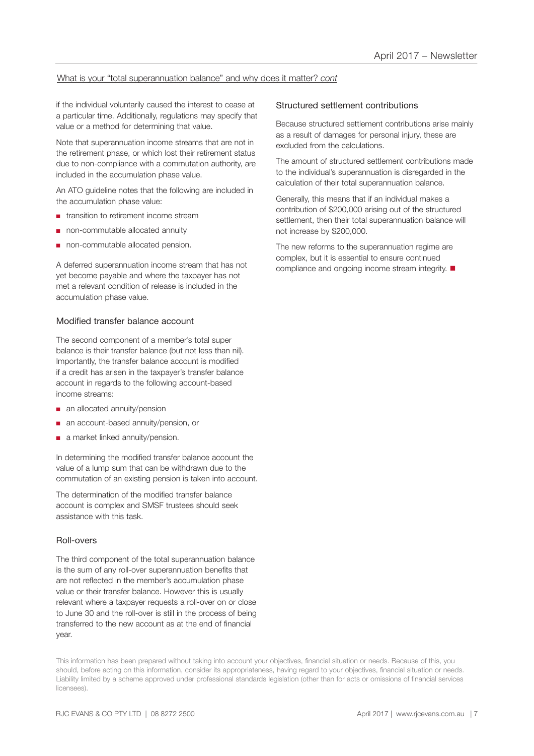# What is your "total superannuation balance" and why does it matter? *cont*

if the individual voluntarily caused the interest to cease at a particular time. Additionally, regulations may specify that value or a method for determining that value.

Note that superannuation income streams that are not in the retirement phase, or which lost their retirement status due to non-compliance with a commutation authority, are included in the accumulation phase value.

An ATO guideline notes that the following are included in the accumulation phase value:

- transition to retirement income stream
- non-commutable allocated annuity
- non-commutable allocated pension.

A deferred superannuation income stream that has not yet become payable and where the taxpayer has not met a relevant condition of release is included in the accumulation phase value.

## Modified transfer balance account

The second component of a member's total super balance is their transfer balance (but not less than nil). Importantly, the transfer balance account is modified if a credit has arisen in the taxpayer's transfer balance account in regards to the following account-based income streams:

- an allocated annuity/pension
- an account-based annuity/pension, or
- a market linked annuity/pension.

In determining the modified transfer balance account the value of a lump sum that can be withdrawn due to the commutation of an existing pension is taken into account.

The determination of the modified transfer balance account is complex and SMSF trustees should seek assistance with this task.

## Roll-overs

The third component of the total superannuation balance is the sum of any roll-over superannuation benefits that are not reflected in the member's accumulation phase value or their transfer balance. However this is usually relevant where a taxpayer requests a roll-over on or close to June 30 and the roll-over is still in the process of being transferred to the new account as at the end of financial year.

## Structured settlement contributions

Because structured settlement contributions arise mainly as a result of damages for personal injury, these are excluded from the calculations.

The amount of structured settlement contributions made to the individual's superannuation is disregarded in the calculation of their total superannuation balance.

Generally, this means that if an individual makes a contribution of \$200,000 arising out of the structured settlement, then their total superannuation balance will not increase by \$200,000.

The new reforms to the superannuation regime are complex, but it is essential to ensure continued compliance and ongoing income stream integrity.  $\blacksquare$ 

This information has been prepared without taking into account your objectives, financial situation or needs. Because of this, you should, before acting on this information, consider its appropriateness, having regard to your objectives, financial situation or needs. Liability limited by a scheme approved under professional standards legislation (other than for acts or omissions of financial services licensees).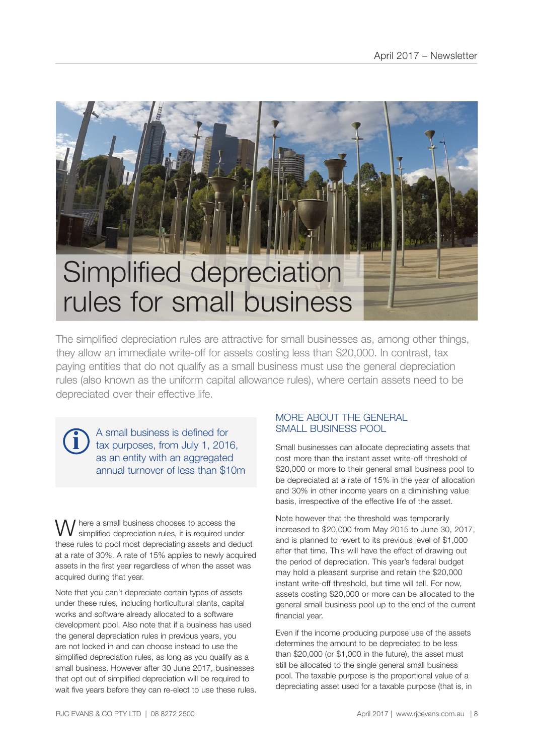

The simplified depreciation rules are attractive for small businesses as, among other things, they allow an immediate write-off for assets costing less than \$20,000. In contrast, tax paying entities that do not qualify as a small business must use the general depreciation rules (also known as the uniform capital allowance rules), where certain assets need to be depreciated over their effective life.

A small business is defined for tax purposes, from July 1, 2016, as an entity with an aggregated annual turnover of less than \$10m

**i**

here a small business chooses to access the simplified depreciation rules, it is required under these rules to pool most depreciating assets and deduct at a rate of 30%. A rate of 15% applies to newly acquired assets in the first year regardless of when the asset was acquired during that year.

Note that you can't depreciate certain types of assets under these rules, including horticultural plants, capital works and software already allocated to a software development pool. Also note that if a business has used the general depreciation rules in previous years, you are not locked in and can choose instead to use the simplified depreciation rules, as long as you qualify as a small business. However after 30 June 2017, businesses that opt out of simplified depreciation will be required to wait five years before they can re-elect to use these rules.

# MORE ABOUT THE GENERAL SMALL BUSINESS POOL

Small businesses can allocate depreciating assets that cost more than the instant asset write-off threshold of \$20,000 or more to their general small business pool to be depreciated at a rate of 15% in the year of allocation and 30% in other income years on a diminishing value basis, irrespective of the effective life of the asset.

Note however that the threshold was temporarily increased to \$20,000 from May 2015 to June 30, 2017, and is planned to revert to its previous level of \$1,000 after that time. This will have the effect of drawing out the period of depreciation. This year's federal budget may hold a pleasant surprise and retain the \$20,000 instant write-off threshold, but time will tell. For now, assets costing \$20,000 or more can be allocated to the general small business pool up to the end of the current financial year.

Even if the income producing purpose use of the assets determines the amount to be depreciated to be less than \$20,000 (or \$1,000 in the future), the asset must still be allocated to the single general small business pool. The taxable purpose is the proportional value of a depreciating asset used for a taxable purpose (that is, in